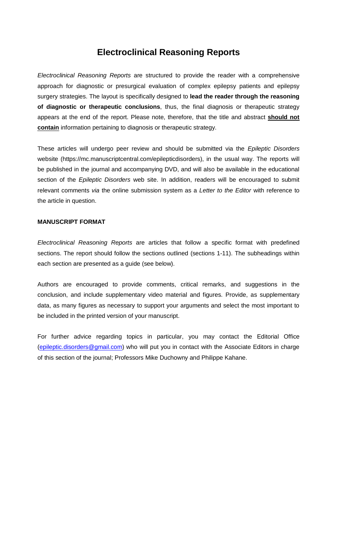# **Electroclinical Reasoning Reports**

*Electroclinical Reasoning Reports* are structured to provide the reader with a comprehensive approach for diagnostic or presurgical evaluation of complex epilepsy patients and epilepsy surgery strategies. The layout is specifically designed to **lead the reader through the reasoning of diagnostic or therapeutic conclusions**, thus, the final diagnosis or therapeutic strategy appears at the end of the report. Please note, therefore, that the title and abstract **should not contain** information pertaining to diagnosis or therapeutic strategy.

These articles will undergo peer review and should be submitted via the *Epileptic Disorders* website (https://mc.manuscriptcentral.com/epilepticdisorders), in the usual way. The reports will be published in the journal and accompanying DVD, and will also be available in the educational section of the *Epileptic Disorders* web site. In addition, readers will be encouraged to submit relevant comments *via* the online submission system as a *Letter to the Editor* with reference to the article in question.

## **MANUSCRIPT FORMAT**

*Electroclinical Reasoning Reports* are articles that follow a specific format with predefined sections. The report should follow the sections outlined (sections 1-11). The subheadings within each section are presented as a guide (see below).

Authors are encouraged to provide comments, critical remarks, and suggestions in the conclusion, and include supplementary video material and figures. Provide, as supplementary data, as many figures as necessary to support your arguments and select the most important to be included in the printed version of your manuscript.

For further advice regarding topics in particular, you may contact the Editorial Office (epileptic.disorders@gmail.com) who will put you in contact with the Associate Editors in charge of this section of the journal; Professors Mike Duchowny and Philippe Kahane.